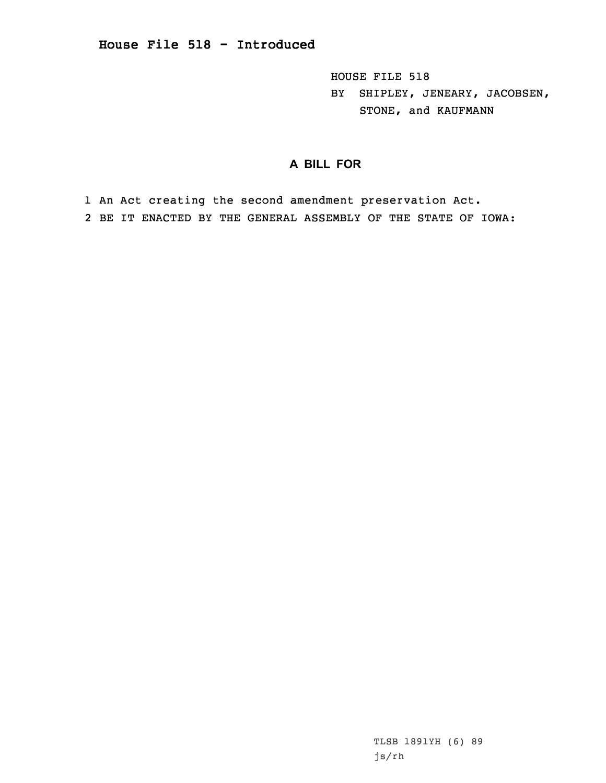HOUSE FILE 518 BY SHIPLEY, JENEARY, JACOBSEN, STONE, and KAUFMANN

## **A BILL FOR**

1 An Act creating the second amendment preservation Act. 2 BE IT ENACTED BY THE GENERAL ASSEMBLY OF THE STATE OF IOWA: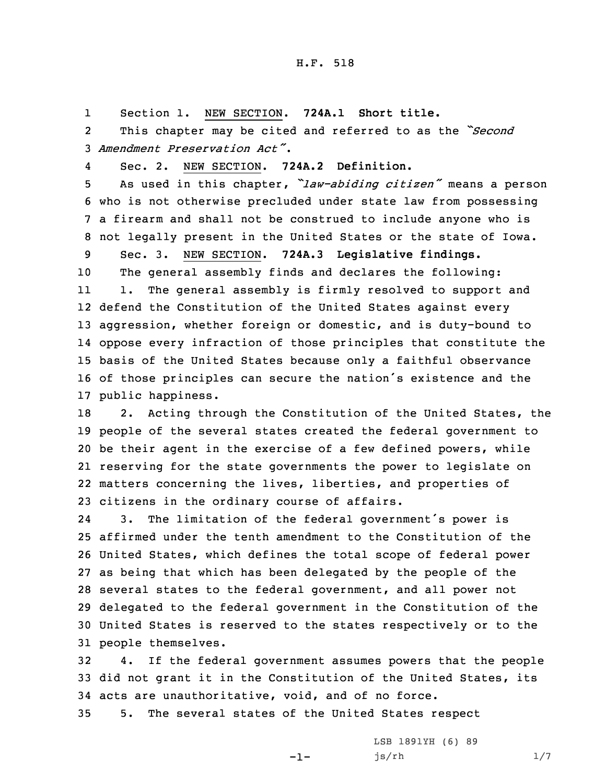## H.F. 518

1Section 1. NEW SECTION. **724A.1 Short title.**

2 This chapter may be cited and referred to as the *"Second* 3 *Amendment Preservation Act"*.

4Sec. 2. NEW SECTION. **724A.2 Definition.**

 As used in this chapter, *"law-abiding citizen"* means <sup>a</sup> person who is not otherwise precluded under state law from possessing <sup>a</sup> firearm and shall not be construed to include anyone who is not legally present in the United States or the state of Iowa.

9 Sec. 3. NEW SECTION. **724A.3 Legislative findings.** 10 The general assembly finds and declares the following: 11 1. The general assembly is firmly resolved to support and 12 defend the Constitution of the United States against every

 aggression, whether foreign or domestic, and is duty-bound to oppose every infraction of those principles that constitute the basis of the United States because only <sup>a</sup> faithful observance of those principles can secure the nation's existence and the public happiness.

18 2. Acting through the Constitution of the United States, the people of the several states created the federal government to be their agent in the exercise of <sup>a</sup> few defined powers, while reserving for the state governments the power to legislate on matters concerning the lives, liberties, and properties of citizens in the ordinary course of affairs.

24 3. The limitation of the federal government's power is affirmed under the tenth amendment to the Constitution of the United States, which defines the total scope of federal power as being that which has been delegated by the people of the several states to the federal government, and all power not delegated to the federal government in the Constitution of the United States is reserved to the states respectively or to the people themselves.

32 4. If the federal government assumes powers that the people 33 did not grant it in the Constitution of the United States, its 34 acts are unauthoritative, void, and of no force.

-1-

35 5. The several states of the United States respect

LSB 1891YH (6) 89 js/rh 1/7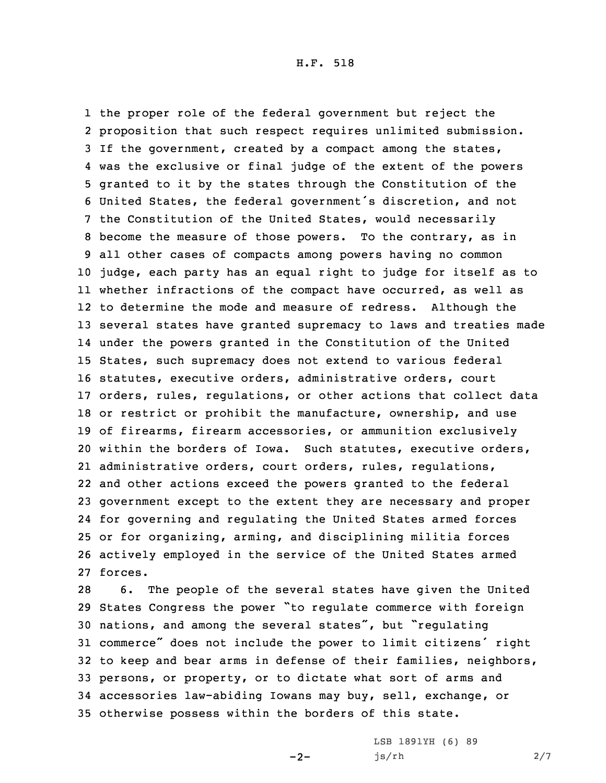the proper role of the federal government but reject the proposition that such respect requires unlimited submission. If the government, created by <sup>a</sup> compact among the states, was the exclusive or final judge of the extent of the powers granted to it by the states through the Constitution of the United States, the federal government's discretion, and not the Constitution of the United States, would necessarily become the measure of those powers. To the contrary, as in all other cases of compacts among powers having no common judge, each party has an equal right to judge for itself as to whether infractions of the compact have occurred, as well as to determine the mode and measure of redress. Although the several states have granted supremacy to laws and treaties made under the powers granted in the Constitution of the United States, such supremacy does not extend to various federal statutes, executive orders, administrative orders, court orders, rules, regulations, or other actions that collect data or restrict or prohibit the manufacture, ownership, and use of firearms, firearm accessories, or ammunition exclusively within the borders of Iowa. Such statutes, executive orders, administrative orders, court orders, rules, regulations, and other actions exceed the powers granted to the federal government except to the extent they are necessary and proper for governing and regulating the United States armed forces or for organizing, arming, and disciplining militia forces actively employed in the service of the United States armed 27 forces.

 6. The people of the several states have given the United States Congress the power "to regulate commerce with foreign nations, and among the several states", but "regulating commerce" does not include the power to limit citizens' right to keep and bear arms in defense of their families, neighbors, persons, or property, or to dictate what sort of arms and accessories law-abiding Iowans may buy, sell, exchange, or otherwise possess within the borders of this state.

 $-2-$ 

LSB 1891YH (6) 89 js/rh 2/7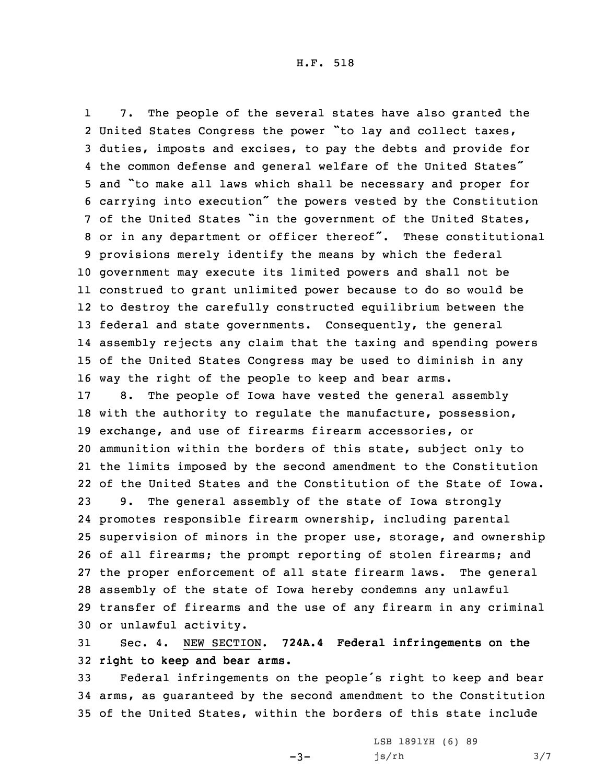1 7. The people of the several states have also granted the United States Congress the power "to lay and collect taxes, duties, imposts and excises, to pay the debts and provide for the common defense and general welfare of the United States" and "to make all laws which shall be necessary and proper for carrying into execution" the powers vested by the Constitution of the United States "in the government of the United States, or in any department or officer thereof". These constitutional provisions merely identify the means by which the federal government may execute its limited powers and shall not be construed to grant unlimited power because to do so would be to destroy the carefully constructed equilibrium between the federal and state governments. Consequently, the general assembly rejects any claim that the taxing and spending powers of the United States Congress may be used to diminish in any way the right of the people to keep and bear arms. 8. The people of Iowa have vested the general assembly

 with the authority to regulate the manufacture, possession, exchange, and use of firearms firearm accessories, or ammunition within the borders of this state, subject only to the limits imposed by the second amendment to the Constitution of the United States and the Constitution of the State of Iowa. 9. The general assembly of the state of Iowa strongly promotes responsible firearm ownership, including parental supervision of minors in the proper use, storage, and ownership

 of all firearms; the prompt reporting of stolen firearms; and the proper enforcement of all state firearm laws. The general assembly of the state of Iowa hereby condemns any unlawful transfer of firearms and the use of any firearm in any criminal or unlawful activity.

31 Sec. 4. NEW SECTION. **724A.4 Federal infringements on the** 32 **right to keep and bear arms.**

<sup>33</sup> Federal infringements on the people's right to keep and bear 34 arms, as guaranteed by the second amendment to the Constitution 35 of the United States, within the borders of this state include

 $-3-$ 

LSB 1891YH (6) 89 js/rh 3/7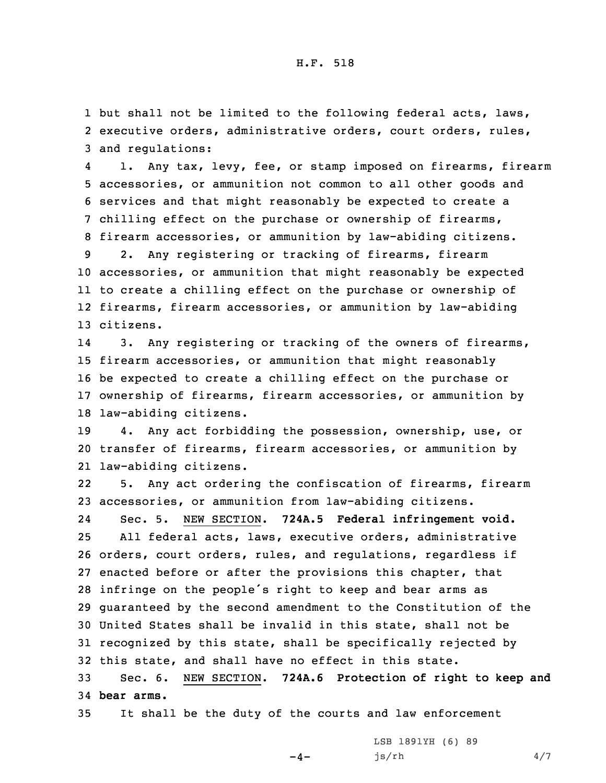1 but shall not be limited to the following federal acts, laws, 2 executive orders, administrative orders, court orders, rules, 3 and regulations:

4 1. Any tax, levy, fee, or stamp imposed on firearms, firearm accessories, or ammunition not common to all other goods and services and that might reasonably be expected to create <sup>a</sup> chilling effect on the purchase or ownership of firearms, firearm accessories, or ammunition by law-abiding citizens. 2. Any registering or tracking of firearms, firearm accessories, or ammunition that might reasonably be expected to create <sup>a</sup> chilling effect on the purchase or ownership of

12 firearms, firearm accessories, or ammunition by law-abiding 13 citizens.

14 3. Any registering or tracking of the owners of firearms, firearm accessories, or ammunition that might reasonably be expected to create <sup>a</sup> chilling effect on the purchase or ownership of firearms, firearm accessories, or ammunition by law-abiding citizens.

19 4. Any act forbidding the possession, ownership, use, or 20 transfer of firearms, firearm accessories, or ammunition by 21 law-abiding citizens.

22 5. Any act ordering the confiscation of firearms, firearm 23 accessories, or ammunition from law-abiding citizens.

24 Sec. 5. NEW SECTION. **724A.5 Federal infringement void.** All federal acts, laws, executive orders, administrative orders, court orders, rules, and regulations, regardless if enacted before or after the provisions this chapter, that infringe on the people's right to keep and bear arms as guaranteed by the second amendment to the Constitution of the United States shall be invalid in this state, shall not be recognized by this state, shall be specifically rejected by this state, and shall have no effect in this state.

33 Sec. 6. NEW SECTION. **724A.6 Protection of right to keep and** 34 **bear arms.**

35 It shall be the duty of the courts and law enforcement

 $-4-$ 

LSB 1891YH (6) 89  $js/rh$  4/7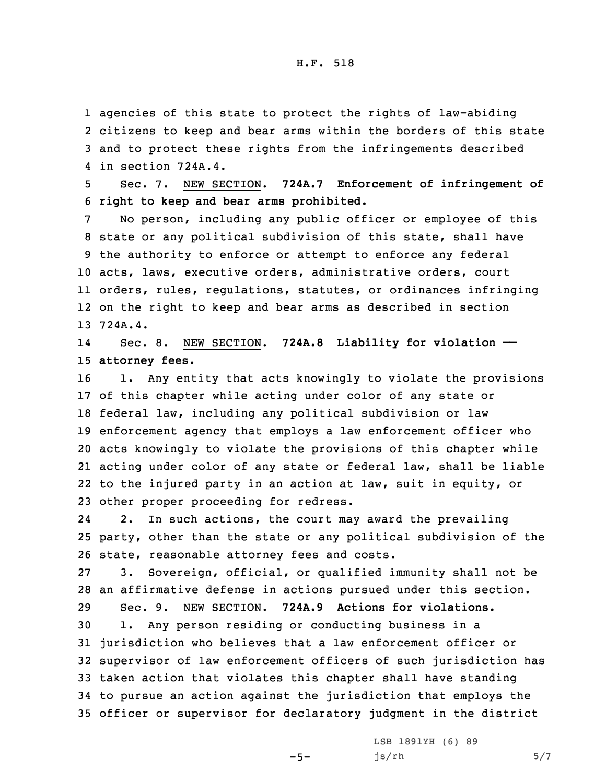agencies of this state to protect the rights of law-abiding citizens to keep and bear arms within the borders of this state and to protect these rights from the infringements described in section 724A.4.

5 Sec. 7. NEW SECTION. **724A.7 Enforcement of infringement of** 6 **right to keep and bear arms prohibited.**

 No person, including any public officer or employee of this state or any political subdivision of this state, shall have the authority to enforce or attempt to enforce any federal acts, laws, executive orders, administrative orders, court orders, rules, regulations, statutes, or ordinances infringing on the right to keep and bear arms as described in section 13 724A.4.

14 Sec. 8. NEW SECTION. **724A.8 Liability for violation ——** 15 **attorney fees.**

 1. Any entity that acts knowingly to violate the provisions of this chapter while acting under color of any state or federal law, including any political subdivision or law enforcement agency that employs <sup>a</sup> law enforcement officer who acts knowingly to violate the provisions of this chapter while acting under color of any state or federal law, shall be liable to the injured party in an action at law, suit in equity, or other proper proceeding for redress.

24 2. In such actions, the court may award the prevailing 25 party, other than the state or any political subdivision of the 26 state, reasonable attorney fees and costs.

27 3. Sovereign, official, or qualified immunity shall not be 28 an affirmative defense in actions pursued under this section.

29 Sec. 9. NEW SECTION. **724A.9 Actions for violations.**

 1. Any person residing or conducting business in <sup>a</sup> jurisdiction who believes that <sup>a</sup> law enforcement officer or supervisor of law enforcement officers of such jurisdiction has taken action that violates this chapter shall have standing to pursue an action against the jurisdiction that employs the officer or supervisor for declaratory judgment in the district

 $-5-$ 

LSB 1891YH (6) 89  $js/rh$  5/7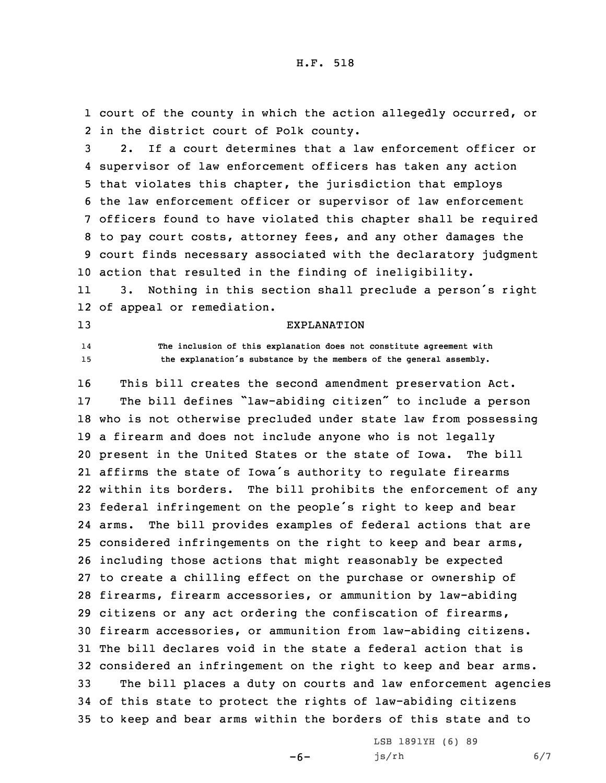1 court of the county in which the action allegedly occurred, or 2 in the district court of Polk county.

 2. If <sup>a</sup> court determines that <sup>a</sup> law enforcement officer or supervisor of law enforcement officers has taken any action that violates this chapter, the jurisdiction that employs the law enforcement officer or supervisor of law enforcement officers found to have violated this chapter shall be required to pay court costs, attorney fees, and any other damages the court finds necessary associated with the declaratory judgment action that resulted in the finding of ineligibility.

11 3. Nothing in this section shall preclude <sup>a</sup> person's right 12 of appeal or remediation.

13 EXPLANATION

14

## **The inclusion of this explanation does not constitute agreement with** <sup>15</sup> **the explanation's substance by the members of the general assembly.**

 This bill creates the second amendment preservation Act. The bill defines "law-abiding citizen" to include <sup>a</sup> person who is not otherwise precluded under state law from possessing <sup>a</sup> firearm and does not include anyone who is not legally present in the United States or the state of Iowa. The bill affirms the state of Iowa's authority to regulate firearms within its borders. The bill prohibits the enforcement of any federal infringement on the people's right to keep and bear arms. The bill provides examples of federal actions that are considered infringements on the right to keep and bear arms, including those actions that might reasonably be expected to create <sup>a</sup> chilling effect on the purchase or ownership of firearms, firearm accessories, or ammunition by law-abiding citizens or any act ordering the confiscation of firearms, firearm accessories, or ammunition from law-abiding citizens. The bill declares void in the state <sup>a</sup> federal action that is considered an infringement on the right to keep and bear arms. The bill places <sup>a</sup> duty on courts and law enforcement agencies of this state to protect the rights of law-abiding citizens to keep and bear arms within the borders of this state and to

 $-6-$ 

LSB 1891YH (6) 89 js/rh 6/7